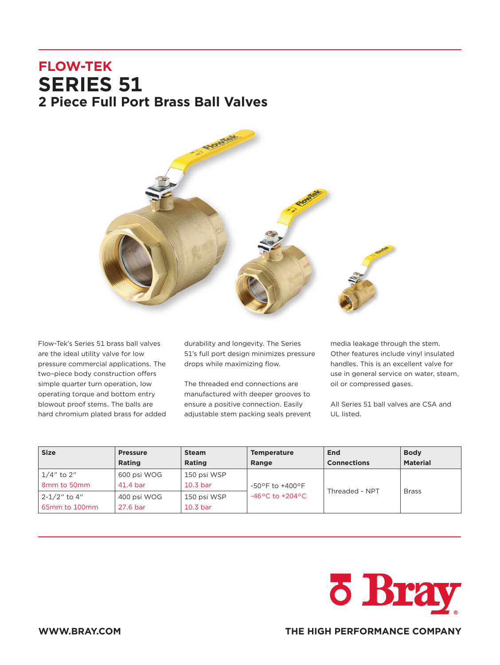# **FLOW-TEK SERIES 51 2 Piece Full Port Brass Ball Valves**



Flow-Tek's Series 51 brass ball valves are the ideal utility valve for low pressure commercial applications. The two–piece body construction offers simple quarter turn operation, low operating torque and bottom entry blowout proof stems. The balls are hard chromium plated brass for added durability and longevity. The Series 51's full port design minimizes pressure drops while maximizing flow.

The threaded end connections are manufactured with deeper grooves to ensure a positive connection. Easily adjustable stem packing seals prevent media leakage through the stem. Other features include vinyl insulated handles. This is an excellent valve for use in general service on water, steam, oil or compressed gases.

All Series 51 ball valves are CSA and UL listed.

| <b>Size</b>                                         | <b>Pressure</b><br>Rating | <b>Steam</b><br>Rating             | <b>Temperature</b><br>Range         | End<br><b>Connections</b> | <b>Body</b><br><b>Material</b> |
|-----------------------------------------------------|---------------------------|------------------------------------|-------------------------------------|---------------------------|--------------------------------|
| $1/4"$ to 2"<br>8 <sub>mm</sub> to 50 <sub>mm</sub> | 600 psi WOG<br>41.4 bar   | 150 psi WSP<br>10.3 <sub>bar</sub> | $-50^{\circ}$ F to $+400^{\circ}$ F | Threaded - NPT            | <b>Brass</b>                   |
| 2-1/2" to 4"<br>65mm to 100mm                       | 400 psi WOG<br>27.6 bar   | 150 psi WSP<br>10.3 <sub>bar</sub> | $-46^{\circ}$ C to $+204^{\circ}$ C |                           |                                |